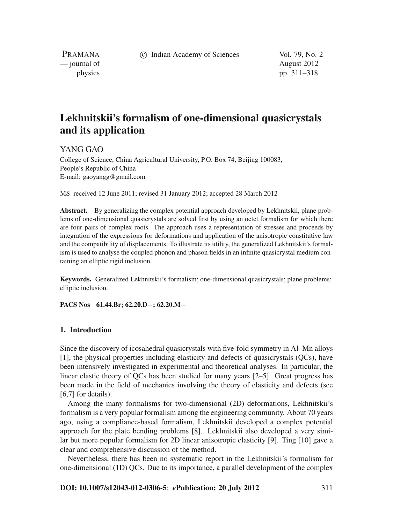c Indian Academy of Sciences Vol. 79, No. 2

PRAMANA — journal of August 2012

physics pp. 311–318

# **Lekhnitskii's formalism of one-dimensional quasicrystals and its application**

YANG GAO

College of Science, China Agricultural University, P.O. Box 74, Beijing 100083, People's Republic of China E-mail: gaoyangg@gmail.com

MS received 12 June 2011; revised 31 January 2012; accepted 28 March 2012

**Abstract.** By generalizing the complex potential approach developed by Lekhnitskii, plane problems of one-dimensional quasicrystals are solved first by using an octet formalism for which there are four pairs of complex roots. The approach uses a representation of stresses and proceeds by integration of the expressions for deformations and application of the anisotropic constitutive law and the compatibility of displacements. To illustrate its utility, the generalized Lekhnitskii's formalism is used to analyse the coupled phonon and phason fields in an infinite quasicrystal medium containing an elliptic rigid inclusion.

**Keywords.** Generalized Lekhnitskii's formalism; one-dimensional quasicrystals; plane problems; elliptic inclusion.

**PACS Nos 61.44.Br; 62.20.D**−**; 62.20.M**−

## **1. Introduction**

Since the discovery of icosahedral quasicrystals with five-fold symmetry in Al–Mn alloys [1], the physical properties including elasticity and defects of quasicrystals (QCs), have been intensively investigated in experimental and theoretical analyses. In particular, the linear elastic theory of QCs has been studied for many years [2–5]. Great progress has been made in the field of mechanics involving the theory of elasticity and defects (see [6,7] for details).

Among the many formalisms for two-dimensional (2D) deformations, Lekhnitskii's formalism is a very popular formalism among the engineering community. About 70 years ago, using a compliance-based formalism, Lekhnitskii developed a complex potential approach for the plate bending problems [8]. Lekhnitskii also developed a very similar but more popular formalism for 2D linear anisotropic elasticity [9]. Ting [10] gave a clear and comprehensive discussion of the method.

Nevertheless, there has been no systematic report in the Lekhnitskii's formalism for one-dimensional (1D) QCs. Due to its importance, a parallel development of the complex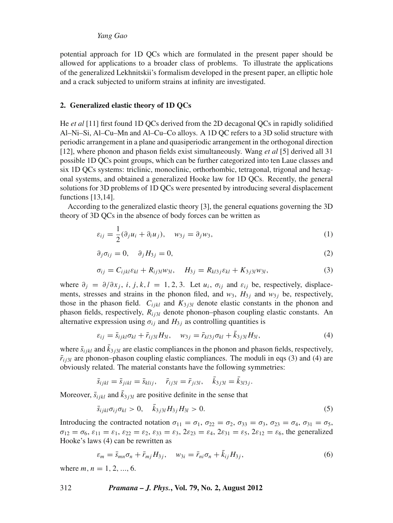potential approach for 1D QCs which are formulated in the present paper should be allowed for applications to a broader class of problems. To illustrate the applications of the generalized Lekhnitskii's formalism developed in the present paper, an elliptic hole and a crack subjected to uniform strains at infinity are investigated.

## **2. Generalized elastic theory of 1D QCs**

He *et al* [11] first found 1D QCs derived from the 2D decagonal QCs in rapidly solidified Al–Ni–Si, Al–Cu–Mn and Al–Cu–Co alloys. A 1D QC refers to a 3D solid structure with periodic arrangement in a plane and quasiperiodic arrangement in the orthogonal direction [12], where phonon and phason fields exist simultaneously. Wang *et al* [5] derived all 31 possible 1D QCs point groups, which can be further categorized into ten Laue classes and six 1D QCs systems: triclinic, monoclinic, orthorhombic, tetragonal, trigonal and hexagonal systems, and obtained a generalized Hooke law for 1D QCs. Recently, the general solutions for 3D problems of 1D QCs were presented by introducing several displacement functions [13,14].

According to the generalized elastic theory [3], the general equations governing the 3D theory of 3D QCs in the absence of body forces can be written as

$$
\varepsilon_{ij} = \frac{1}{2}(\partial_j u_i + \partial_i u_j), \quad w_{3j} = \partial_j w_3,
$$
\n(1)

$$
\partial_j \sigma_{ij} = 0, \quad \partial_j H_{3j} = 0,\tag{2}
$$

$$
\sigma_{ij} = C_{ijkl}\varepsilon_{kl} + R_{ij3l}w_{3l}, \quad H_{3j} = R_{kl3j}\varepsilon_{kl} + K_{3j3l}w_{3l}, \tag{3}
$$

where  $\partial_i = \partial/\partial x_i$ , *i*, *j*, *k*, *l* = 1, 2, 3. Let *u<sub>i</sub>*,  $\sigma_{ij}$  and  $\varepsilon_{ij}$  be, respectively, displacements, stresses and strains in the phonon filed, and  $w_3$ ,  $H_{3j}$  and  $w_3$  be, respectively, those in the phason field.  $C_{ijkl}$  and  $K_{3j3l}$  denote elastic constants in the phonon and phason fields, respectively,  $R_{i j3l}$  denote phonon–phason coupling elastic constants. An alternative expression using  $\sigma_{ij}$  and  $H_{3j}$  as controlling quantities is

$$
\varepsilon_{ij} = \bar{s}_{ijkl}\sigma_{kl} + \bar{r}_{ij3l}H_{3l}, \quad w_{3j} = \bar{r}_{kl3j}\sigma_{kl} + \bar{k}_{3j3l}H_{3l}, \tag{4}
$$

where  $\bar{s}_{ijkl}$  and  $\bar{k}_{3j3l}$  are elastic compliances in the phonon and phason fields, respectively,  $\bar{r}_{i j 3 l}$  are phonon–phason coupling elastic compliances. The moduli in eqs (3) and (4) are obviously related. The material constants have the following symmetries:

$$
\bar{s}_{ijkl} = \bar{s}_{jikl} = \bar{s}_{klij}, \quad \bar{r}_{ij3l} = \bar{r}_{ji3l}, \quad \bar{k}_{3j3l} = \bar{k}_{3l3j}.
$$

Moreover,  $\bar{s}_{ijkl}$  and  $\bar{k}_{3j3l}$  are positive definite in the sense that

$$
\bar{s}_{ijkl}\sigma_{ij}\sigma_{kl} > 0, \quad \bar{k}_{3j3l}H_{3j}H_{3l} > 0.
$$
\n(5)

Introducing the contracted notation  $\sigma_{11} = \sigma_1$ ,  $\sigma_{22} = \sigma_2$ ,  $\sigma_{33} = \sigma_3$ ,  $\sigma_{23} = \sigma_4$ ,  $\sigma_{31} = \sigma_5$ ,  $\sigma_{12} = \sigma_6$ ,  $\varepsilon_{11} = \varepsilon_1$ ,  $\varepsilon_{22} = \varepsilon_2$ ,  $\varepsilon_{33} = \varepsilon_3$ ,  $2\varepsilon_{23} = \varepsilon_4$ ,  $2\varepsilon_{31} = \varepsilon_5$ ,  $2\varepsilon_{12} = \varepsilon_6$ , the generalized Hooke's laws (4) can be rewritten as

$$
\varepsilon_m = \bar{s}_{mn}\sigma_n + \bar{r}_{mj}H_{3j}, \quad w_{3i} = \bar{r}_{ni}\sigma_n + \bar{k}_{ij}H_{3j}, \tag{6}
$$

where  $m, n = 1, 2, ..., 6$ .

#### 312 *Pramana – J. Phys.***, Vol. 79, No. 2, August 2012**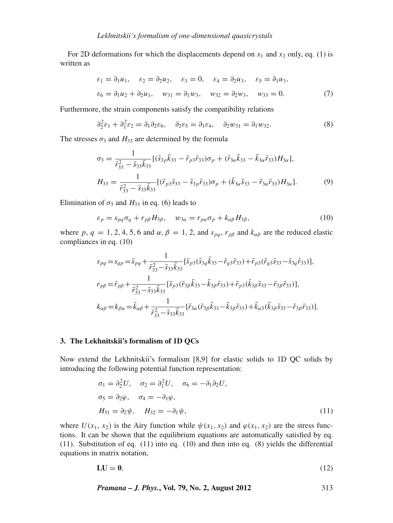For 2D deformations for which the displacements depend on  $x_1$  and  $x_2$  only, eq. (1) is written as

$$
\varepsilon_1 = \partial_1 u_1, \quad \varepsilon_2 = \partial_2 u_2, \quad \varepsilon_3 = 0, \quad \varepsilon_4 = \partial_2 u_3, \quad \varepsilon_5 = \partial_1 u_3,
$$
  
\n $\varepsilon_6 = \partial_1 u_2 + \partial_2 u_1, \quad w_{31} = \partial_1 w_3, \quad w_{32} = \partial_2 w_3, \quad w_{33} = 0.$  (7)

Furthermore, the strain components satisfy the compatibility relations

$$
\partial_2^2 \varepsilon_1 + \partial_1^2 \varepsilon_2 = \partial_1 \partial_2 \varepsilon_6, \quad \partial_2 \varepsilon_5 = \partial_1 \varepsilon_4, \quad \partial_2 w_{31} = \partial_1 w_{32}.
$$
 (8)

The stresses  $\sigma_3$  and  $H_{33}$  are determined by the formula

$$
\sigma_3 = \frac{1}{\bar{r}_{33}^2 - \bar{s}_{33}\bar{k}_{33}} [(\bar{s}_{3p}\bar{k}_{33} - \bar{r}_{p3}\bar{r}_{33})\sigma_p + (\bar{r}_{3\alpha}\bar{k}_{33} - \bar{k}_{3\alpha}\bar{r}_{33})H_{3\alpha}],
$$
  
\n
$$
H_{33} = \frac{1}{\bar{r}_{33}^2 - \bar{s}_{33}\bar{k}_{33}} [(\bar{r}_{p3}\bar{s}_{33} - \bar{s}_{3p}\bar{r}_{33})\sigma_p + (\bar{k}_{3\alpha}\bar{s}_{33} - \bar{r}_{3\alpha}\bar{r}_{33})H_{3\alpha}].
$$
\n(9)

Elimination of  $\sigma_3$  and  $H_{33}$  in eq. (6) leads to

$$
\varepsilon_p = s_{pq}\sigma_q + r_{p\beta}H_{3\beta}, \quad w_{3\alpha} = r_{p\alpha}\sigma_p + k_{\alpha\beta}H_{3\beta}, \tag{10}
$$

where  $p$ ,  $q = 1, 2, 4, 5, 6$  and  $\alpha$ ,  $\beta = 1, 2$ , and  $s_{pq}$ ,  $r_{p\beta}$  and  $k_{\alpha\beta}$  are the reduced elastic compliances in eq. (10)

$$
s_{pq} = s_{qp} = \bar{s}_{pq} + \frac{1}{\bar{r}_{33}^2 - \bar{s}_{33}\bar{k}_{33}} [\bar{s}_{p3}(\bar{s}_{3q}\bar{k}_{33} - \bar{r}_{q3}\bar{r}_{33}) + \bar{r}_{p3}(\bar{r}_{q3}\bar{s}_{33} - \bar{s}_{3q}\bar{r}_{33})],
$$
  
\n
$$
r_{p\beta} = \bar{r}_{p\beta} + \frac{1}{\bar{r}_{33}^2 - \bar{s}_{33}\bar{k}_{33}} [\bar{s}_{p3}(\bar{r}_{3\beta}\bar{k}_{33} - \bar{k}_{3\beta}\bar{r}_{33}) + \bar{r}_{p3}(\bar{k}_{3\beta}\bar{s}_{33} - \bar{r}_{3\beta}\bar{r}_{33})],
$$
  
\n
$$
k_{\alpha\beta} = k_{\beta\alpha} = \bar{k}_{\alpha\beta} + \frac{1}{\bar{r}_{33}^2 - \bar{s}_{33}\bar{k}_{33}} [\bar{r}_{3\alpha}(\bar{r}_{3\beta}\bar{k}_{33} - \bar{k}_{3\beta}\bar{r}_{33}) + \bar{k}_{\alpha3}(\bar{k}_{3\beta}\bar{s}_{33} - \bar{r}_{3\beta}\bar{r}_{33})].
$$

#### **3. The Lekhnitskii's formalism of 1D QCs**

Now extend the Lekhnitskii's formalism [8,9] for elastic solids to 1D QC solids by introducing the following potential function representation:

$$
\sigma_1 = \partial_2^2 U, \quad \sigma_2 = \partial_1^2 U, \quad \sigma_6 = -\partial_1 \partial_2 U,
$$
  
\n
$$
\sigma_5 = \partial_2 \varphi, \quad \sigma_4 = -\partial_1 \varphi,
$$
  
\n
$$
H_{31} = \partial_2 \psi, \quad H_{32} = -\partial_1 \psi,
$$
\n(11)

where  $U(x_1, x_2)$  is the Airy function while  $\psi(x_1, x_2)$  and  $\varphi(x_1, x_2)$  are the stress functions. It can be shown that the equilibrium equations are automatically satisfied by eq.  $(11)$ . Substitution of eq.  $(11)$  into eq.  $(10)$  and then into eq.  $(8)$  yields the differential equations in matrix notation,

$$
LU = 0,\t(12)
$$

*Pramana – J. Phys.***, Vol. 79, No. 2, August 2012** 313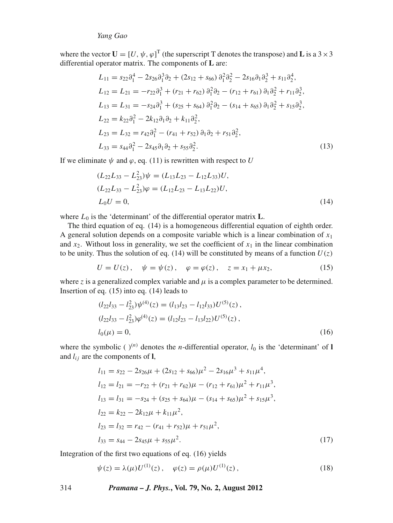where the vector  $\mathbf{U} = [U, \psi, \varphi]^T$  (the superscript T denotes the transpose) and **L** is a 3 × 3 differential operator matrix. The components of **L** are:

$$
L_{11} = s_{22}\partial_1^4 - 2s_{26}\partial_1^3\partial_2 + (2s_{12} + s_{66})\partial_1^2\partial_2^2 - 2s_{16}\partial_1\partial_2^3 + s_{11}\partial_2^4,
$$
  
\n
$$
L_{12} = L_{21} = -r_{22}\partial_1^3 + (r_{21} + r_{62})\partial_1^2\partial_2 - (r_{12} + r_{61})\partial_1\partial_2^2 + r_{11}\partial_2^3,
$$
  
\n
$$
L_{13} = L_{31} = -s_{24}\partial_1^3 + (s_{25} + s_{64})\partial_1^2\partial_2 - (s_{14} + s_{65})\partial_1\partial_2^2 + s_{15}\partial_2^3,
$$
  
\n
$$
L_{22} = k_{22}\partial_1^2 - 2k_{12}\partial_1\partial_2 + k_{11}\partial_2^2,
$$
  
\n
$$
L_{23} = L_{32} = r_{42}\partial_1^2 - (r_{41} + r_{52})\partial_1\partial_2 + r_{51}\partial_2^2,
$$
  
\n
$$
L_{33} = s_{44}\partial_1^2 - 2s_{45}\partial_1\partial_2 + s_{55}\partial_2^2.
$$
  
\n(13)

If we eliminate  $\psi$  and  $\varphi$ , eq. (11) is rewritten with respect to *U* 

$$
(L_{22}L_{33} - L_{23}^2)\psi = (L_{13}L_{23} - L_{12}L_{33})U,
$$
  
\n
$$
(L_{22}L_{33} - L_{23}^2)\varphi = (L_{12}L_{23} - L_{13}L_{22})U,
$$
  
\n
$$
L_0U = 0,
$$
\n(14)

where  $L_0$  is the 'determinant' of the differential operator matrix  $L$ .

The third equation of eq. (14) is a homogeneous differential equation of eighth order. A general solution depends on a composite variable which is a linear combination of  $x_1$ and  $x_2$ . Without loss in generality, we set the coefficient of  $x_1$  in the linear combination to be unity. Thus the solution of eq. (14) will be constituted by means of a function  $U(z)$ 

$$
U = U(z), \quad \psi = \psi(z), \quad \varphi = \varphi(z), \quad z = x_1 + \mu x_2,\tag{15}
$$

where  $z$  is a generalized complex variable and  $\mu$  is a complex parameter to be determined. Insertion of eq. (15) into eq. (14) leads to

$$
(l_{22}l_{33} - l_{23}^2)\psi^{(4)}(z) = (l_{13}l_{23} - l_{12}l_{33})U^{(5)}(z),
$$
  
\n
$$
(l_{22}l_{33} - l_{23}^2)\varphi^{(4)}(z) = (l_{12}l_{23} - l_{13}l_{22})U^{(5)}(z),
$$
  
\n
$$
l_0(\mu) = 0,
$$
\n(16)

where the symbolic ( $)$ <sup>(*n*)</sup> denotes the *n*-differential operator,  $l_0$  is the 'determinant' of **l** and  $l_{ij}$  are the components of **l**,

$$
l_{11} = s_{22} - 2s_{26}\mu + (2s_{12} + s_{66})\mu^2 - 2s_{16}\mu^3 + s_{11}\mu^4,
$$
  
\n
$$
l_{12} = l_{21} = -r_{22} + (r_{21} + r_{62})\mu - (r_{12} + r_{61})\mu^2 + r_{11}\mu^3,
$$
  
\n
$$
l_{13} = l_{31} = -s_{24} + (s_{25} + s_{64})\mu - (s_{14} + s_{65})\mu^2 + s_{15}\mu^3,
$$
  
\n
$$
l_{22} = k_{22} - 2k_{12}\mu + k_{11}\mu^2,
$$
  
\n
$$
l_{23} = l_{32} = r_{42} - (r_{41} + r_{52})\mu + r_{51}\mu^2,
$$
  
\n
$$
l_{33} = s_{44} - 2s_{45}\mu + s_{55}\mu^2.
$$
  
\n(17)

Integration of the first two equations of eq. (16) yields

$$
\psi(z) = \lambda(\mu)U^{(1)}(z), \quad \varphi(z) = \rho(\mu)U^{(1)}(z), \tag{18}
$$

## 314 *Pramana – J. Phys.***, Vol. 79, No. 2, August 2012**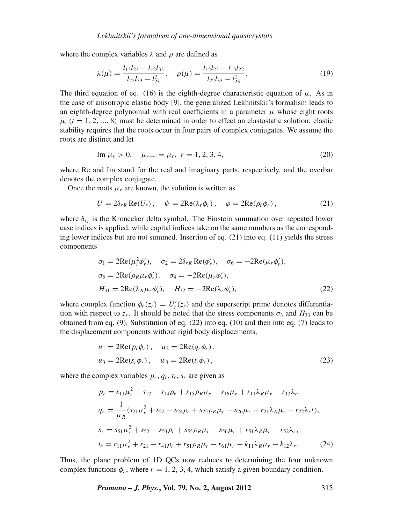where the complex variables  $\lambda$  and  $\rho$  are defined as

$$
\lambda(\mu) = \frac{l_{13}l_{23} - l_{12}l_{33}}{l_{22}l_{33} - l_{23}^2}, \quad \rho(\mu) = \frac{l_{12}l_{23} - l_{13}l_{22}}{l_{22}l_{33} - l_{23}^2}.
$$
\n(19)

The third equation of eq. (16) is the eighth-degree characteristic equation of  $\mu$ . As in the case of anisotropic elastic body [9], the generalized Lekhnitskii's formalism leads to an eighth-degree polynomial with real coefficients in a parameter  $\mu$  whose eight roots  $\mu_t$  ( $t = 1, 2, ..., 8$ ) must be determined in order to effect an elastostatic solution; elastic stability requires that the roots occur in four pairs of complex conjugates. We assume the roots are distinct and let

Im 
$$
\mu_r > 0
$$
,  $\mu_{r+4} = \bar{\mu}_r$ ,  $r = 1, 2, 3, 4$ , (20)

where Re and Im stand for the real and imaginary parts, respectively, and the overbar denotes the complex conjugate.

Once the roots  $\mu_r$  are known, the solution is written as

$$
U = 2\delta_{rR} \operatorname{Re}(U_r), \quad \psi = 2\operatorname{Re}(\lambda_r \phi_r), \quad \varphi = 2\operatorname{Re}(\rho_r \phi_r), \tag{21}
$$

where  $\delta_{ij}$  is the Kronecker delta symbol. The Einstein summation over repeated lower case indices is applied, while capital indices take on the same numbers as the corresponding lower indices but are not summed. Insertion of eq. (21) into eq. (11) yields the stress components

$$
\sigma_1 = 2\text{Re}(\mu_r^2 \phi_r'), \quad \sigma_2 = 2\delta_{rR} \text{Re}(\phi_r'), \quad \sigma_6 = -2\text{Re}(\mu_r \phi_r'),
$$
  
\n
$$
\sigma_5 = 2\text{Re}(\rho_R \mu_r \phi_r'), \quad \sigma_4 = -2\text{Re}(\mu_r \phi_r'),
$$
  
\n
$$
H_{31} = 2\text{Re}(\lambda_R \mu_r \phi_r'), \quad H_{32} = -2\text{Re}(\lambda_r \phi_r'),
$$
\n(22)

where complex function  $\phi_r(z_r) = U'_r(z_r)$  and the superscript prime denotes differentiation with respect to  $z_r$ . It should be noted that the stress components  $\sigma_3$  and  $H_{33}$  can be obtained from eq.  $(9)$ . Substitution of eq.  $(22)$  into eq.  $(10)$  and then into eq.  $(7)$  leads to the displacement components without rigid body displacements,

$$
u_1 = 2\text{Re}(p_r \phi_r), \quad u_2 = 2\text{Re}(q_r \phi_r),
$$
  

$$
u_3 = 2\text{Re}(s_r \phi_r), \quad w_3 = 2\text{Re}(t_r \phi_r),
$$
 (23)

where the complex variables  $p_r$ ,  $q_r$ ,  $t_r$ ,  $s_r$  are given as

$$
p_r = s_{11}\mu_r^2 + s_{12} - s_{14}\rho_r + s_{15}\rho_R\mu_r - s_{16}\mu_r + r_{11}\lambda_R\mu_r - r_{12}\lambda_r,
$$
  
\n
$$
q_r = \frac{1}{\mu_R}(s_{21}\mu_r^2 + s_{22} - s_{24}\rho_r + s_{25}\rho_R\mu_r - s_{26}\mu_r + r_{21}\lambda_R\mu_r - r_{22}\lambda_r t),
$$
  
\n
$$
s_r = s_{51}\mu_r^2 + s_{52} - s_{54}\rho_r + s_{55}\rho_R\mu_r - s_{56}\mu_r + r_{51}\lambda_R\mu_r - r_{52}\lambda_r,
$$
  
\n
$$
t_r = r_{11}\mu_r^2 + r_{21} - r_{41}\rho_r + r_{51}\rho_R\mu_r - r_{61}\mu_r + k_{11}\lambda_R\mu_r - k_{12}\lambda_r.
$$
 (24)

Thus, the plane problem of 1D QCs now reduces to determining the four unknown complex functions  $\phi_r$ , where  $r = 1, 2, 3, 4$ , which satisfy a given boundary condition.

*Pramana – J. Phys.***, Vol. 79, No. 2, August 2012** 315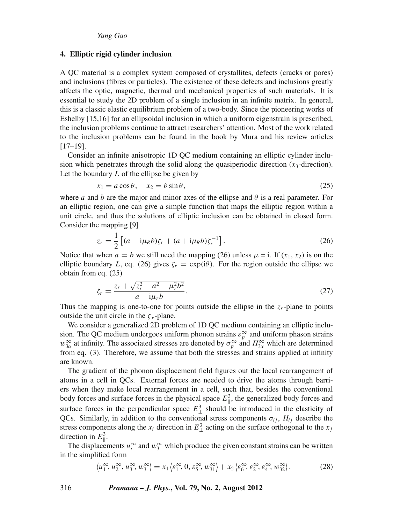#### **4. Elliptic rigid cylinder inclusion**

A QC material is a complex system composed of crystallites, defects (cracks or pores) and inclusions (fibres or particles). The existence of these defects and inclusions greatly affects the optic, magnetic, thermal and mechanical properties of such materials. It is essential to study the 2D problem of a single inclusion in an infinite matrix. In general, this is a classic elastic equilibrium problem of a two-body. Since the pioneering works of Eshelby [15,16] for an ellipsoidal inclusion in which a uniform eigenstrain is prescribed, the inclusion problems continue to attract researchers' attention. Most of the work related to the inclusion problems can be found in the book by Mura and his review articles [17–19].

Consider an infinite anisotropic 1D QC medium containing an elliptic cylinder inclusion which penetrates through the solid along the quasiperiodic direction  $(x_3$ -direction). Let the boundary *L* of the ellipse be given by

$$
x_1 = a\cos\theta, \quad x_2 = b\sin\theta,\tag{25}
$$

where *a* and *b* are the major and minor axes of the ellipse and  $\theta$  is a real parameter. For an elliptic region, one can give a simple function that maps the elliptic region within a unit circle, and thus the solutions of elliptic inclusion can be obtained in closed form. Consider the mapping [9]

$$
z_r = \frac{1}{2} \left[ (a - i\mu_R b)\zeta_r + (a + i\mu_R b)\zeta_r^{-1} \right].
$$
 (26)

Notice that when  $a = b$  we still need the mapping (26) unless  $\mu = i$ . If  $(x_1, x_2)$  is on the elliptic boundary *L*, eq. (26) gives  $\zeta_r = \exp(i\theta)$ . For the region outside the ellipse we obtain from eq. (25)

$$
\zeta_r = \frac{z_r + \sqrt{z_r^2 - a^2 - \mu_r^2 b^2}}{a - i\mu_r b}.
$$
\n(27)

Thus the mapping is one-to-one for points outside the ellipse in the  $z_r$ -plane to points outside the unit circle in the  $\zeta$  *r*-plane.

We consider a generalized 2D problem of 1D QC medium containing an elliptic inclusion. The QC medium undergoes uniform phonon strains  $\varepsilon_p^{\infty}$  and uniform phason strains  $w_{3\alpha}^{\infty}$  at infinity. The associated stresses are denoted by  $\sigma_p^{\infty}$  and  $H_{3\alpha}^{\infty}$  which are determined from eq. (3). Therefore, we assume that both the stresses and strains applied at infinity are known.

The gradient of the phonon displacement field figures out the local rearrangement of atoms in a cell in QCs. External forces are needed to drive the atoms through barriers when they make local rearrangement in a cell, such that, besides the conventional body forces and surface forces in the physical space  $E_{\parallel}^3$ , the generalized body forces and surface forces in the perpendicular space  $E_{\perp}^3$  should be introduced in the elasticity of QCs. Similarly, in addition to the conventional stress components  $\sigma_{ij}$ ,  $H_{ij}$  describe the stress components along the  $x_i$  direction in  $E_{\perp}^3$  acting on the surface orthogonal to the  $x_j$ direction in  $E_{\parallel}^3$ .

The displacements  $u_i^{\infty}$  and  $w_3^{\infty}$  which produce the given constant strains can be written in the simplified form

$$
\langle u_1^{\infty}, u_2^{\infty}, u_3^{\infty}, w_3^{\infty} \rangle = x_1 \langle \varepsilon_1^{\infty}, 0, \varepsilon_5^{\infty}, w_{31}^{\infty} \rangle + x_2 \langle \varepsilon_6^{\infty}, \varepsilon_2^{\infty}, \varepsilon_4^{\infty}, w_{32}^{\infty} \rangle.
$$
 (28)

316 *Pramana – J. Phys.***, Vol. 79, No. 2, August 2012**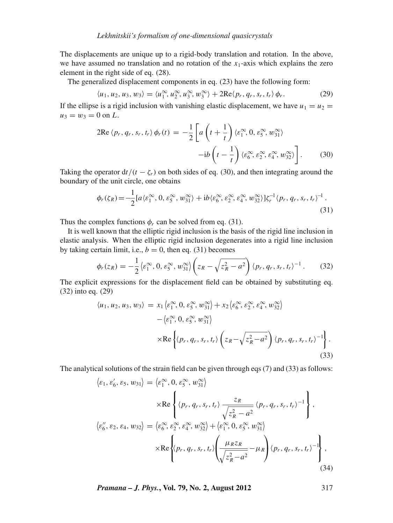The displacements are unique up to a rigid-body translation and rotation. In the above, we have assumed no translation and no rotation of the *x*1-axis which explains the zero element in the right side of eq. (28).

The generalized displacement components in eq. (23) have the following form:

$$
\langle u_1, u_2, u_3, w_3 \rangle = \langle u_1^{\infty}, u_2^{\infty}, u_3^{\infty}, w_3^{\infty} \rangle + 2 \text{Re} \langle p_r, q_r, s_r, t_r \rangle \phi_r. \tag{29}
$$

If the ellipse is a rigid inclusion with vanishing elastic displacement, we have  $u_1 = u_2$  $u_3 = w_3 = 0$  on *L*.

$$
2\text{Re}\langle p_r, q_r, s_r, t_r \rangle \phi_r(t) = -\frac{1}{2} \left[ a \left( t + \frac{1}{t} \right) \langle \varepsilon_1^{\infty}, 0, \varepsilon_5^{\infty}, w_{31}^{\infty} \rangle \right.-ib \left( t - \frac{1}{t} \right) \langle \varepsilon_6^{\infty}, \varepsilon_2^{\infty}, \varepsilon_4^{\infty}, w_{32}^{\infty} \rangle \right].
$$
 (30)

Taking the operator  $dt/(t - \zeta_r)$  on both sides of eq. (30), and then integrating around the boundary of the unit circle, one obtains

$$
\phi_r(\zeta_R) = -\frac{1}{2} [a \langle \varepsilon_1^{\infty}, 0, \varepsilon_5^{\infty}, w_{31}^{\infty} \rangle + i b \langle \varepsilon_6^{\infty}, \varepsilon_2^{\infty}, \varepsilon_4^{\infty}, w_{32}^{\infty} \rangle] \zeta_r^{-1} \langle p_r, q_r, s_r, t_r \rangle^{-1}.
$$
\n(31)

Thus the complex functions  $\phi_r$  can be solved from eq. (31).

 $\sim$ 

It is well known that the elliptic rigid inclusion is the basis of the rigid line inclusion in elastic analysis. When the elliptic rigid inclusion degenerates into a rigid line inclusion by taking certain limit, i.e.,  $b = 0$ , then eq. (31) becomes

$$
\phi_r(z_R) = -\frac{1}{2} \langle \varepsilon_1^{\infty}, 0, \varepsilon_5^{\infty}, w_{31}^{\infty} \rangle \left( z_R - \sqrt{z_R^2 - a^2} \right) \langle p_r, q_r, s_r, t_r \rangle^{-1}.
$$
 (32)

The explicit expressions for the displacement field can be obtained by substituting eq. (32) into eq. (29)

$$
\langle u_1, u_2, u_3, w_3 \rangle = x_1 \langle \varepsilon_1^{\infty}, 0, \varepsilon_5^{\infty}, w_{31}^{\infty} \rangle + x_2 \langle \varepsilon_6^{\infty}, \varepsilon_2^{\infty}, \varepsilon_4^{\infty}, w_{32}^{\infty} \rangle - \langle \varepsilon_1^{\infty}, 0, \varepsilon_5^{\infty}, w_{31}^{\infty} \rangle \times \text{Re} \left\{ \langle p_r, q_r, s_r, t_r \rangle \left( z_R - \sqrt{z_R^2 - a^2} \right) \langle p_r, q_r, s_r, t_r \rangle^{-1} \right\}.
$$
(33)

The analytical solutions of the strain field can be given through eqs (7) and (33) as follows:

$$
\langle \varepsilon_1, \varepsilon_6', \varepsilon_5, w_{31} \rangle = \langle \varepsilon_1^{\infty}, 0, \varepsilon_5^{\infty}, w_{31}^{\infty} \rangle
$$
  
\n
$$
\times \text{Re} \left\{ \langle p_r, q_r, s_r, t_r \rangle \frac{z_R}{\sqrt{z_R^2 - a^2}} \langle p_r, q_r, s_r, t_r \rangle^{-1} \right\},
$$
  
\n
$$
\langle \varepsilon_6'', \varepsilon_2, \varepsilon_4, w_{32} \rangle = \langle \varepsilon_6^{\infty}, \varepsilon_2^{\infty}, \varepsilon_4^{\infty}, w_{32}^{\infty} \rangle + \langle \varepsilon_1^{\infty}, 0, \varepsilon_5^{\infty}, w_{31}^{\infty} \rangle
$$
  
\n
$$
\times \text{Re} \left\{ \langle p_r, q_r, s_r, t_r \rangle \left( \frac{\mu_R z_R}{\sqrt{z_R^2 - a^2}} - \mu_R \right) \langle p_r, q_r, s_r, t_r \rangle^{-1} \right\},
$$
  
\n(34)

*Pramana – J. Phys.***, Vol. 79, No. 2, August 2012** 317